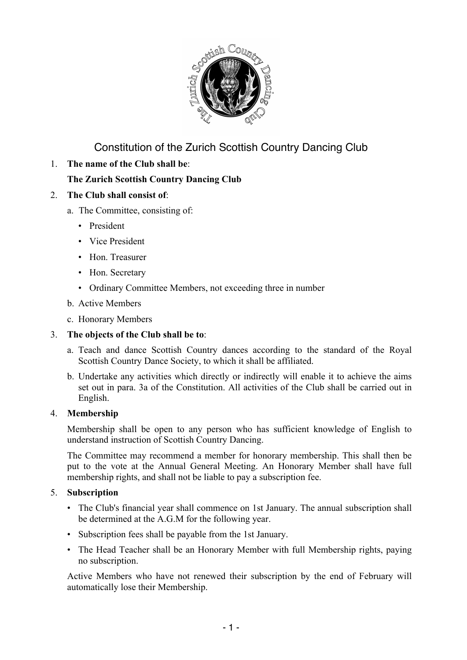

Constitution of the Zurich Scottish Country Dancing Club

1. **The name of the Club shall be**:

# **The Zurich Scottish Country Dancing Club**

- 2. **The Club shall consist of**:
	- a. The Committee, consisting of:
		- President
		- Vice President
		- Hon. Treasurer
		- Hon. Secretary
		- Ordinary Committee Members, not exceeding three in number
	- b. Active Members
	- c. Honorary Members

# 3. **The objects of the Club shall be to**:

- a. Teach and dance Scottish Country dances according to the standard of the Royal Scottish Country Dance Society, to which it shall be affiliated.
- b. Undertake any activities which directly or indirectly will enable it to achieve the aims set out in para. 3a of the Constitution. All activities of the Club shall be carried out in English.

## 4. **Membership**

Membership shall be open to any person who has sufficient knowledge of English to understand instruction of Scottish Country Dancing.

The Committee may recommend a member for honorary membership. This shall then be put to the vote at the Annual General Meeting. An Honorary Member shall have full membership rights, and shall not be liable to pay a subscription fee.

## 5. **Subscription**

- The Club's financial year shall commence on 1st January. The annual subscription shall be determined at the A.G.M for the following year.
- Subscription fees shall be payable from the 1st January.
- The Head Teacher shall be an Honorary Member with full Membership rights, paying no subscription.

Active Members who have not renewed their subscription by the end of February will automatically lose their Membership.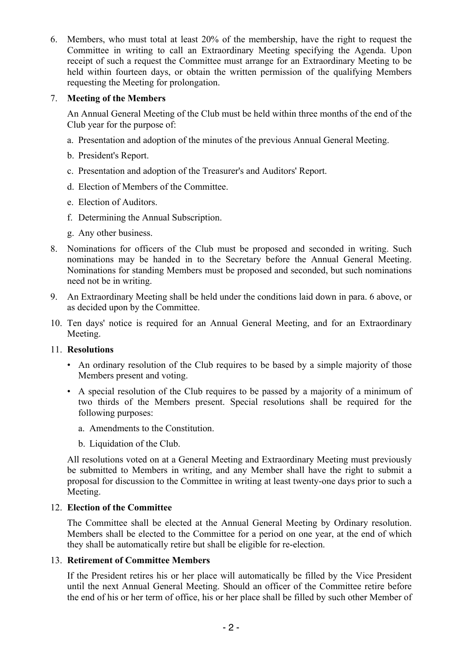6. Members, who must total at least 20% of the membership, have the right to request the Committee in writing to call an Extraordinary Meeting specifying the Agenda. Upon receipt of such a request the Committee must arrange for an Extraordinary Meeting to be held within fourteen days, or obtain the written permission of the qualifying Members requesting the Meeting for prolongation.

## 7. **Meeting of the Members**

An Annual General Meeting of the Club must be held within three months of the end of the Club year for the purpose of:

- a. Presentation and adoption of the minutes of the previous Annual General Meeting.
- b. President's Report.
- c. Presentation and adoption of the Treasurer's and Auditors' Report.
- d. Election of Members of the Committee.
- e. Election of Auditors.
- f. Determining the Annual Subscription.
- g. Any other business.
- 8. Nominations for officers of the Club must be proposed and seconded in writing. Such nominations may be handed in to the Secretary before the Annual General Meeting. Nominations for standing Members must be proposed and seconded, but such nominations need not be in writing.
- 9. An Extraordinary Meeting shall be held under the conditions laid down in para. 6 above, or as decided upon by the Committee.
- 10. Ten days' notice is required for an Annual General Meeting, and for an Extraordinary Meeting.

## 11. **Resolutions**

- An ordinary resolution of the Club requires to be based by a simple majority of those Members present and voting.
- A special resolution of the Club requires to be passed by a majority of a minimum of two thirds of the Members present. Special resolutions shall be required for the following purposes:
	- a. Amendments to the Constitution.
	- b. Liquidation of the Club.

All resolutions voted on at a General Meeting and Extraordinary Meeting must previously be submitted to Members in writing, and any Member shall have the right to submit a proposal for discussion to the Committee in writing at least twenty-one days prior to such a Meeting.

## 12. **Election of the Committee**

The Committee shall be elected at the Annual General Meeting by Ordinary resolution. Members shall be elected to the Committee for a period on one year, at the end of which they shall be automatically retire but shall be eligible for re-election.

## 13. **Retirement of Committee Members**

If the President retires his or her place will automatically be filled by the Vice President until the next Annual General Meeting. Should an officer of the Committee retire before the end of his or her term of office, his or her place shall be filled by such other Member of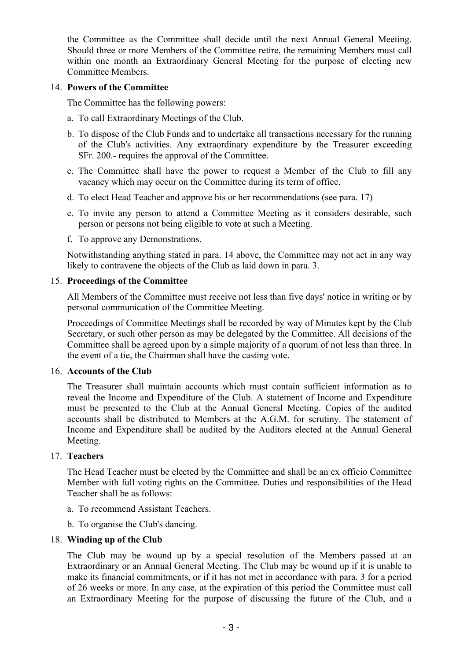the Committee as the Committee shall decide until the next Annual General Meeting. Should three or more Members of the Committee retire, the remaining Members must call within one month an Extraordinary General Meeting for the purpose of electing new Committee Members.

#### 14. **Powers of the Committee**

The Committee has the following powers:

- a. To call Extraordinary Meetings of the Club.
- b. To dispose of the Club Funds and to undertake all transactions necessary for the running of the Club's activities. Any extraordinary expenditure by the Treasurer exceeding SFr. 200.- requires the approval of the Committee.
- c. The Committee shall have the power to request a Member of the Club to fill any vacancy which may occur on the Committee during its term of office.
- d. To elect Head Teacher and approve his or her recommendations (see para. 17)
- e. To invite any person to attend a Committee Meeting as it considers desirable, such person or persons not being eligible to vote at such a Meeting.
- f. To approve any Demonstrations.

Notwithstanding anything stated in para. 14 above, the Committee may not act in any way likely to contravene the objects of the Club as laid down in para. 3.

#### 15. **Proceedings of the Committee**

All Members of the Committee must receive not less than five days' notice in writing or by personal communication of the Committee Meeting.

Proceedings of Committee Meetings shall be recorded by way of Minutes kept by the Club Secretary, or such other person as may be delegated by the Committee. All decisions of the Committee shall be agreed upon by a simple majority of a quorum of not less than three. In the event of a tie, the Chairman shall have the casting vote.

#### 16. **Accounts of the Club**

The Treasurer shall maintain accounts which must contain sufficient information as to reveal the Income and Expenditure of the Club. A statement of Income and Expenditure must be presented to the Club at the Annual General Meeting. Copies of the audited accounts shall be distributed to Members at the A.G.M. for scrutiny. The statement of Income and Expenditure shall be audited by the Auditors elected at the Annual General Meeting.

## 17. **Teachers**

The Head Teacher must be elected by the Committee and shall be an ex officio Committee Member with full voting rights on the Committee. Duties and responsibilities of the Head Teacher shall be as follows:

- a. To recommend Assistant Teachers.
- b. To organise the Club's dancing.

## 18. **Winding up of the Club**

The Club may be wound up by a special resolution of the Members passed at an Extraordinary or an Annual General Meeting. The Club may be wound up if it is unable to make its financial commitments, or if it has not met in accordance with para. 3 for a period of 26 weeks or more. In any case, at the expiration of this period the Committee must call an Extraordinary Meeting for the purpose of discussing the future of the Club, and a